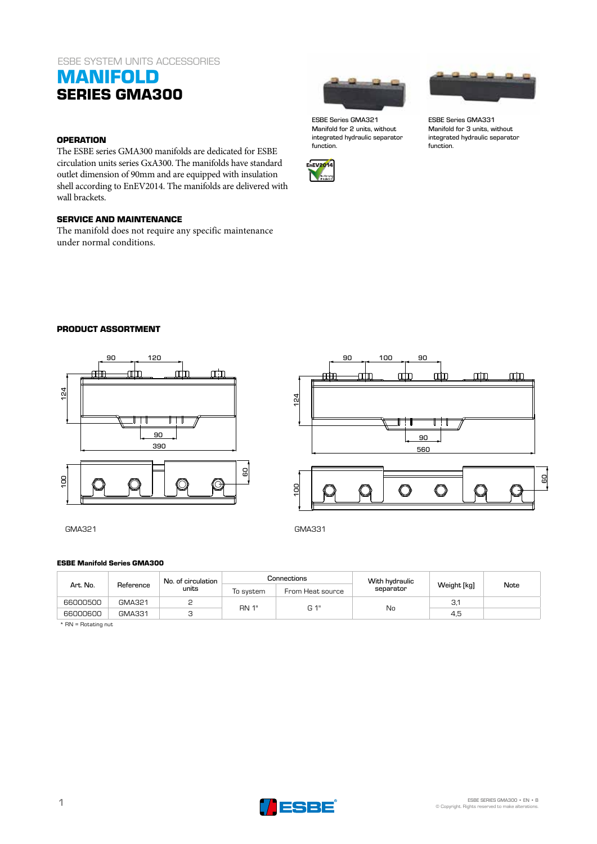### ESBE SYSTEM UNITS ACCESSORIES

## **MANIFOLD SERIES GMA300**

### **OPERATION**

The ESBE series GMA300 manifolds are dedicated for ESBE circulation units series GxA300. The manifolds have standard outlet dimension of 90mm and are equipped with insulation shell according to EnEV2014. The manifolds are delivered with wall brackets.

### **SERVICE AND MAINTENANCE**

The manifold does not require any specific maintenance under normal conditions.



ESBE Series GMA321 ESBE Series GMA331 Manifold for 2 units, without integrated hydraulic separator function.





Manifold for 3 units, without integrated hydraulic separator function.

#### **PRODUCT ASSORTMENT**



GMA321 GMA331



100 90

#### **ESBE Manifold Series GMA300**

| Art. No. | Reference | No. of circulation<br>units | Connections  |                  | With hydraulic |             |      |
|----------|-----------|-----------------------------|--------------|------------------|----------------|-------------|------|
|          |           |                             | To svstem    | From Heat source | separator      | Weight [kg] | Note |
| 66000500 | GMA321    |                             | <b>RN 1"</b> | G 1"             | No             | З.'         |      |
| 66000600 | GMA331    |                             |              |                  |                | 4,5         |      |

\* RN = Rotating nut